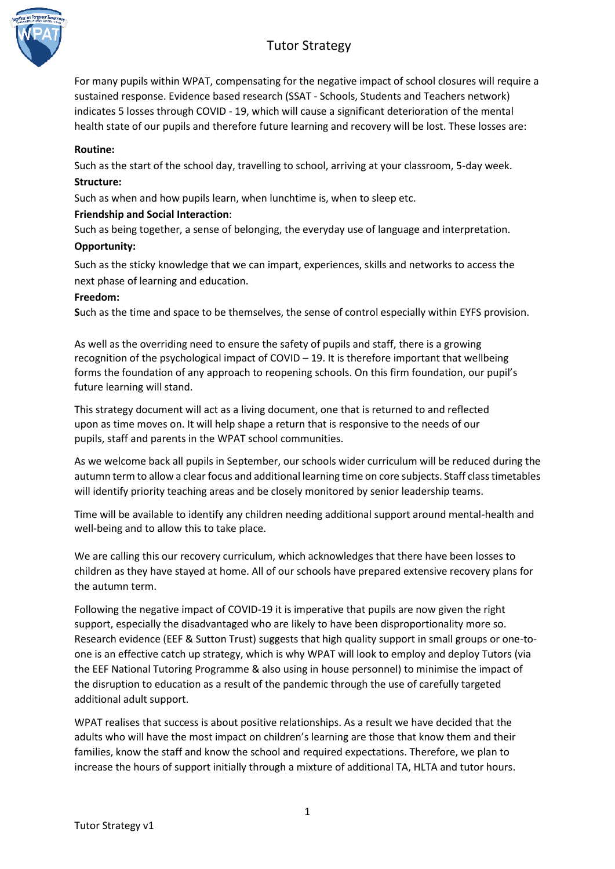# Tutor Strategy



For many pupils within WPAT, compensating for the negative impact of school closures will require a sustained response. Evidence based research (SSAT - Schools, Students and Teachers network) indicates 5 losses through COVID - 19, which will cause a significant deterioration of the mental health state of our pupils and therefore future learning and recovery will be lost. These losses are:

## **Routine:**

Such as the start of the school day, travelling to school, arriving at your classroom, 5-day week. **Structure:** 

Such as when and how pupils learn, when lunchtime is, when to sleep etc.

## **Friendship and Social Interaction**:

Such as being together, a sense of belonging, the everyday use of language and interpretation.

#### **Opportunity:**

Such as the sticky knowledge that we can impart, experiences, skills and networks to access the next phase of learning and education.

#### **Freedom:**

**S**uch as the time and space to be themselves, the sense of control especially within EYFS provision.

As well as the overriding need to ensure the safety of pupils and staff, there is a growing recognition of the psychological impact of COVID – 19. It is therefore important that wellbeing forms the foundation of any approach to reopening schools. On this firm foundation, our pupil's future learning will stand.

This strategy document will act as a living document, one that is returned to and reflected upon as time moves on. It will help shape a return that is responsive to the needs of our pupils, staff and parents in the WPAT school communities.

As we welcome back all pupils in September, our schools wider curriculum will be reduced during the autumn term to allow a clear focus and additional learning time on core subjects. Staff class timetables will identify priority teaching areas and be closely monitored by senior leadership teams.

Time will be available to identify any children needing additional support around mental-health and well-being and to allow this to take place.

We are calling this our recovery curriculum, which acknowledges that there have been losses to children as they have stayed at home. All of our schools have prepared extensive recovery plans for the autumn term.

Following the negative impact of COVID-19 it is imperative that pupils are now given the right support, especially the disadvantaged who are likely to have been disproportionality more so. Research evidence (EEF & Sutton Trust) suggests that high quality support in small groups or one-toone is an effective catch up strategy, which is why WPAT will look to employ and deploy Tutors (via the EEF National Tutoring Programme & also using in house personnel) to minimise the impact of the disruption to education as a result of the pandemic through the use of carefully targeted additional adult support.

WPAT realises that success is about positive relationships. As a result we have decided that the adults who will have the most impact on children's learning are those that know them and their families, know the staff and know the school and required expectations. Therefore, we plan to increase the hours of support initially through a mixture of additional TA, HLTA and tutor hours.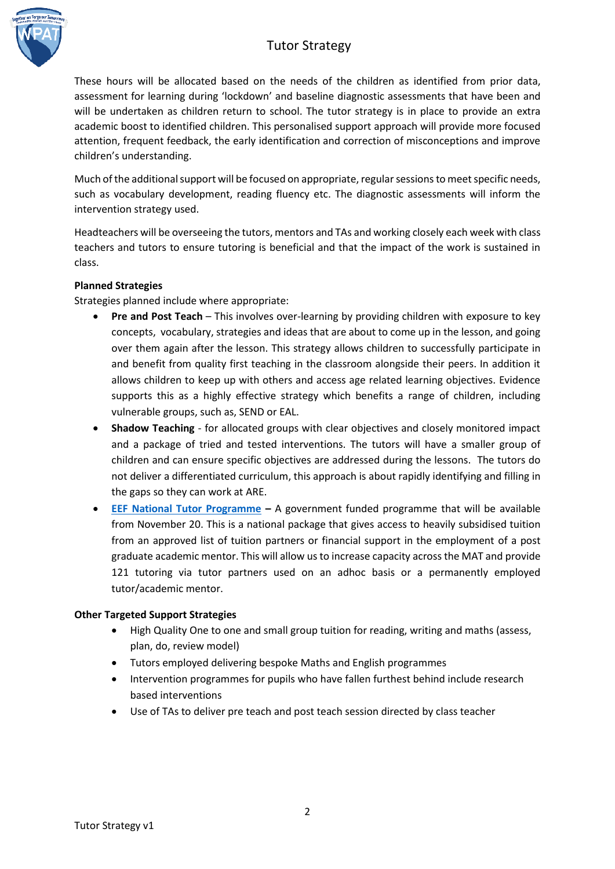# Tutor Strategy



These hours will be allocated based on the needs of the children as identified from prior data, assessment for learning during 'lockdown' and baseline diagnostic assessments that have been and will be undertaken as children return to school. The tutor strategy is in place to provide an extra academic boost to identified children. This personalised support approach will provide more focused attention, frequent feedback, the early identification and correction of misconceptions and improve children's understanding.

Much of the additional support will be focused on appropriate, regular sessions to meet specific needs, such as vocabulary development, reading fluency etc. The diagnostic assessments will inform the intervention strategy used.

Headteachers will be overseeing the tutors, mentors and TAs and working closely each week with class teachers and tutors to ensure tutoring is beneficial and that the impact of the work is sustained in class.

## **Planned Strategies**

Strategies planned include where appropriate:

- **Pre and Post Teach** This involves over-learning by providing children with exposure to key concepts, vocabulary, strategies and ideas that are about to come up in the lesson, and going over them again after the lesson. This strategy allows children to successfully participate in and benefit from quality first teaching in the classroom alongside their peers. In addition it allows children to keep up with others and access age related learning objectives. Evidence supports this as a highly effective strategy which benefits a range of children, including vulnerable groups, such as, SEND or EAL.
- **Shadow Teaching** for allocated groups with clear objectives and closely monitored impact and a package of tried and tested interventions. The tutors will have a smaller group of children and can ensure specific objectives are addressed during the lessons. The tutors do not deliver a differentiated curriculum, this approach is about rapidly identifying and filling in the gaps so they can work at ARE.
- **[EEF National Tutor Programme](https://educationendowmentfoundation.org.uk/covid-19-resources/national-tutoring-programme/#closeSignup) –** A government funded programme that will be available from November 20. This is a national package that gives access to heavily subsidised tuition from an approved list of tuition partners or financial support in the employment of a post graduate academic mentor. This will allow us to increase capacity across the MAT and provide 121 tutoring via tutor partners used on an adhoc basis or a permanently employed tutor/academic mentor.

## **Other Targeted Support Strategies**

- High Quality One to one and small group tuition for reading, writing and maths (assess, plan, do, review model)
- Tutors employed delivering bespoke Maths and English programmes
- Intervention programmes for pupils who have fallen furthest behind include research based interventions
- Use of TAs to deliver pre teach and post teach session directed by class teacher